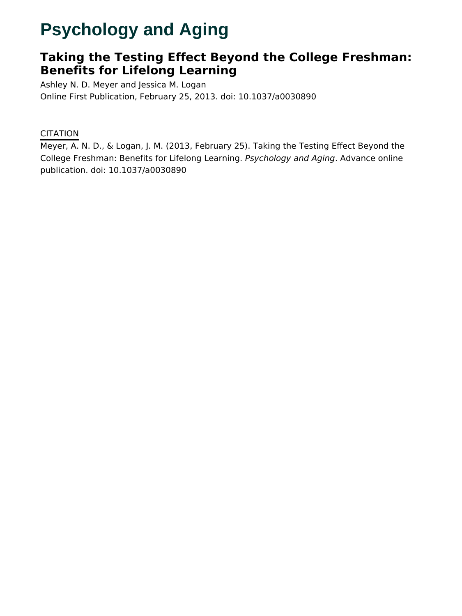# **Psychology and Aging**

# **Taking the Testing Effect Beyond the College Freshman: Benefits for Lifelong Learning**

Ashley N. D. Meyer and Jessica M. Logan Online First Publication, February 25, 2013. doi: 10.1037/a0030890

# **CITATION**

Meyer, A. N. D., & Logan, J. M. (2013, February 25). Taking the Testing Effect Beyond the College Freshman: Benefits for Lifelong Learning. Psychology and Aging. Advance online publication. doi: 10.1037/a0030890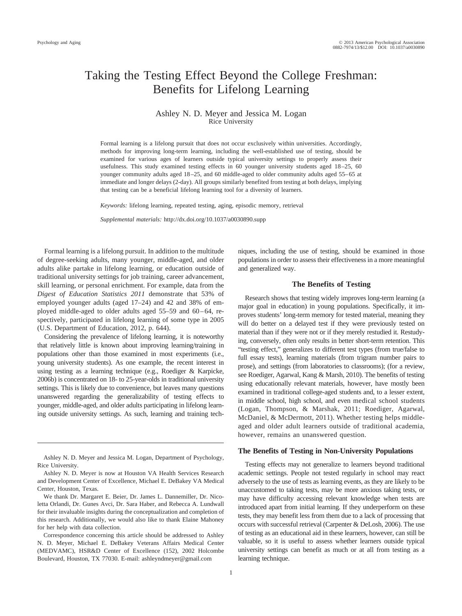# Taking the Testing Effect Beyond the College Freshman: Benefits for Lifelong Learning

#### Ashley N. D. Meyer and Jessica M. Logan Rice University

Formal learning is a lifelong pursuit that does not occur exclusively within universities. Accordingly, methods for improving long-term learning, including the well-established use of testing, should be examined for various ages of learners outside typical university settings to properly assess their usefulness. This study examined testing effects in 60 younger university students aged 18 –25, 60 younger community adults aged 18 –25, and 60 middle-aged to older community adults aged 55– 65 at immediate and longer delays (2-day). All groups similarly benefited from testing at both delays, implying that testing can be a beneficial lifelong learning tool for a diversity of learners.

*Keywords:* lifelong learning, repeated testing, aging, episodic memory, retrieval

*Supplemental materials:* http://dx.doi.org/10.1037/a0030890.supp

Formal learning is a lifelong pursuit. In addition to the multitude of degree-seeking adults, many younger, middle-aged, and older adults alike partake in lifelong learning, or education outside of traditional university settings for job training, career advancement, skill learning, or personal enrichment. For example, data from the *Digest of Education Statistics 2011* demonstrate that 53% of employed younger adults (aged 17–24) and 42 and 38% of employed middle-aged to older adults aged  $55-59$  and  $60-64$ , respectively, participated in lifelong learning of some type in 2005 (U.S. Department of Education, 2012, p. 644).

Considering the prevalence of lifelong learning, it is noteworthy that relatively little is known about improving learning/training in populations other than those examined in most experiments (i.e., young university students). As one example, the recent interest in using testing as a learning technique (e.g., Roediger & Karpicke, 2006b) is concentrated on 18- to 25-year-olds in traditional university settings. This is likely due to convenience, but leaves many questions unanswered regarding the generalizability of testing effects to younger, middle-aged, and older adults participating in lifelong learning outside university settings. As such, learning and training tech-

Ashley N. D. Meyer and Jessica M. Logan, Department of Psychology, Rice University.

niques, including the use of testing, should be examined in those populations in order to assess their effectiveness in a more meaningful and generalized way.

#### **The Benefits of Testing**

Research shows that testing widely improves long-term learning (a major goal in education) in young populations. Specifically, it improves students' long-term memory for tested material, meaning they will do better on a delayed test if they were previously tested on material than if they were not or if they merely restudied it. Restudying, conversely, often only results in better short-term retention. This "testing effect," generalizes to different test types (from true/false to full essay tests), learning materials (from trigram number pairs to prose), and settings (from laboratories to classrooms); (for a review, see Roediger, Agarwal, Kang & Marsh, 2010). The benefits of testing using educationally relevant materials, however, have mostly been examined in traditional college-aged students and, to a lesser extent, in middle school, high school, and even medical school students (Logan, Thompson, & Marshak, 2011; Roediger, Agarwal, McDaniel, & McDermott, 2011). Whether testing helps middleaged and older adult learners outside of traditional academia, however, remains an unanswered question.

#### **The Benefits of Testing in Non-University Populations**

Testing effects may not generalize to learners beyond traditional academic settings. People not tested regularly in school may react adversely to the use of tests as learning events, as they are likely to be unaccustomed to taking tests, may be more anxious taking tests, or may have difficulty accessing relevant knowledge when tests are introduced apart from initial learning. If they underperform on these tests, they may benefit less from them due to a lack of processing that occurs with successful retrieval (Carpenter & DeLosh, 2006). The use of testing as an educational aid in these learners, however, can still be valuable, so it is useful to assess whether learners outside typical university settings can benefit as much or at all from testing as a learning technique.

Ashley N. D. Meyer is now at Houston VA Health Services Research and Development Center of Excellence, Michael E. DeBakey VA Medical Center, Houston, Texas.

We thank Dr. Margaret E. Beier, Dr. James L. Dannemiller, Dr. Nicoletta Orlandi, Dr. Gunes Avci, Dr. Sara Haber, and Rebecca A. Lundwall for their invaluable insights during the conceptualization and completion of this research. Additionally, we would also like to thank Elaine Mahoney for her help with data collection.

Correspondence concerning this article should be addressed to Ashley N. D. Meyer, Michael E. DeBakey Veterans Affairs Medical Center (MEDVAMC), HSR&D Center of Excellence (152), 2002 Holcombe Boulevard, Houston, TX 77030. E-mail: ashleyndmeyer@gmail.com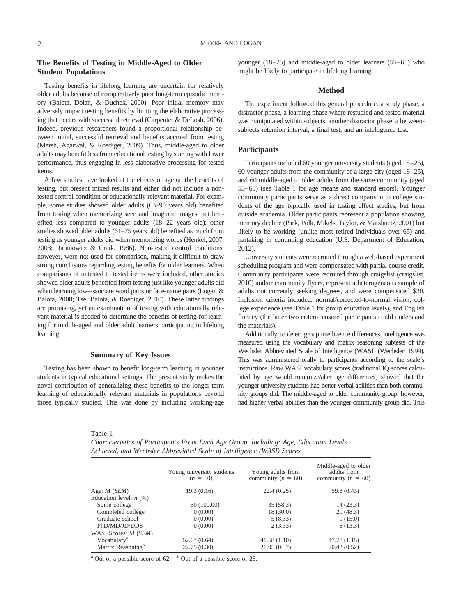### **The Benefits of Testing in Middle-Aged to Older Student Populations**

Testing benefits in lifelong learning are uncertain for relatively older adults because of comparatively poor long-term episodic memory (Balota, Dolan, & Duchek, 2000). Poor initial memory may adversely impact testing benefits by limiting the elaborative processing that occurs with successful retrieval (Carpenter & DeLosh, 2006). Indeed, previous researchers found a proportional relationship between initial, successful retrieval and benefits accrued from testing (Marsh, Agarwal, & Roediger, 2009). Thus, middle-aged to older adults may benefit less from educational testing by starting with lower performance, thus engaging in less elaborative processing for tested items.

A few studies have looked at the effects of age on the benefits of testing, but present mixed results and either did not include a nontested control condition or educationally relevant material. For example, some studies showed older adults (63–90 years old) benefited from testing when memorizing seen and imagined images, but benefited less compared to younger adults (18 –22 years old); other studies showed older adults (61–75 years old) benefited as much from testing as younger adults did when memorizing words (Henkel, 2007, 2008; Rabinowitz & Craik, 1986). Non-tested control conditions, however, were not used for comparison, making it difficult to draw strong conclusions regarding testing benefits for older learners. When comparisons of untested to tested items were included, other studies showed older adults benefited from testing just like younger adults did when learning low-associate word pairs or face-name pairs (Logan & Balota, 2008; Tse, Balota, & Roediger, 2010). These latter findings are promising, yet an examination of testing with educationally relevant material is needed to determine the benefits of testing for learning for middle-aged and older adult learners participating in lifelong learning.

#### **Summary of Key Issues**

Testing has been shown to benefit long-term learning in younger students in typical educational settings. The present study makes the novel contribution of generalizing these benefits to the longer-term learning of educationally relevant materials in populations beyond those typically studied. This was done by including working-age younger  $(18-25)$  and middle-aged to older learners  $(55-65)$  who might be likely to participate in lifelong learning.

#### **Method**

The experiment followed this general procedure: a study phase, a distractor phase, a learning phase where restudied and tested material was manipulated within subjects, another distractor phase, a betweensubjects retention interval, a final test, and an intelligence test.

#### **Participants**

Participants included 60 younger university students (aged 18-25), 60 younger adults from the community of a large city (aged 18 –25), and 60 middle-aged to older adults from the same community (aged 55– 65) (see Table 1 for age means and standard errors). Younger community participants serve as a direct comparison to college students of the age typically used in testing effect studies, but from outside academia. Older participants represent a population showing memory decline (Park, Polk, Mikels, Taylor, & Marshuetz, 2001) but likely to be working (unlike most retired individuals over 65) and partaking in continuing education (U.S. Department of Education, 2012).

University students were recruited through a web-based experiment scheduling program and were compensated with partial course credit. Community participants were recruited through craigslist (craigslist, 2010) and/or community flyers, represent a heterogeneous sample of adults not currently seeking degrees, and were compensated \$20. Inclusion criteria included: normal/corrected-to-normal vision, college experience (see Table 1 for group education levels), and English fluency (the latter two criteria ensured participants could understand the materials).

Additionally, to detect group intelligence differences, intelligence was measured using the vocabulary and matrix reasoning subtests of the Wechsler Abbreviated Scale of Intelligence (WASI) (Wechsler, 1999). This was administered orally to participants according to the scale's instructions. Raw WASI vocabulary scores (traditional IQ scores calculated by age would minimize/alter age differences) showed that the younger university students had better verbal abilities than both community groups did. The middle-aged to older community group, however, had higher verbal abilities than the younger community group did. This

Table 1

*Characteristics of Participants From Each Age Group, Including: Age, Education Levels Achieved, and Wechsler Abbreviated Scale of Intelligence (WASI) Scores*

|                               | Young university students<br>$(n = 60)$ | Young adults from<br>community ( $n = 60$ ) | Middle-aged to older<br>adults from<br>community ( $n = 60$ ) |  |  |  |
|-------------------------------|-----------------------------------------|---------------------------------------------|---------------------------------------------------------------|--|--|--|
| Age: $M$ ( <i>SEM</i> )       | 19.3(0.16)                              | 22.4(0.25)                                  | 59.8 (0.43)                                                   |  |  |  |
| Education level: $n$ (%)      |                                         |                                             |                                                               |  |  |  |
| Some college                  | 60(100.00)                              | 35(58.3)                                    | 14(23.3)                                                      |  |  |  |
| Completed college             | 0(0.00)                                 | 18(30.0)                                    | 29(48.3)                                                      |  |  |  |
| Graduate school               | 0(0.00)                                 | 5(8.33)                                     | 9(15.0)                                                       |  |  |  |
| PhD/MD/JD/DDS                 | 0(0.00)                                 | 2(3.33)                                     | 8(13.3)                                                       |  |  |  |
| WASI Scores: <i>M (SEM)</i>   |                                         |                                             |                                                               |  |  |  |
| Vocabulary <sup>a</sup>       | 52.67 (0.64)                            | 41.58(1.10)                                 | 47.78 (1.15)                                                  |  |  |  |
| Matrix Reasoning <sup>b</sup> | 22.75(0.30)                             | 21.95(0.37)                                 | 20.43(0.52)                                                   |  |  |  |

<sup>a</sup> Out of a possible score of 62.  $\overline{b}$  Out of a possible score of 26.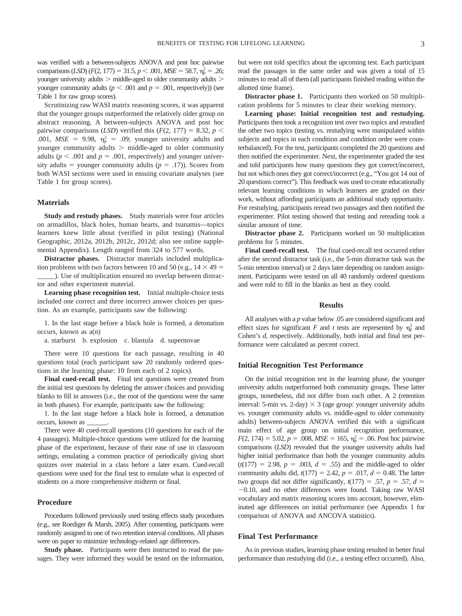was verified with a between-subjects ANOVA and post hoc pairwise comparisons (*LSD*)  $(F(2, 177) = 31.5, p \le .001, MSE = 58.7, \eta_{p}^{2} = .26;$ younger university adults  $>$  middle-aged to older community adults  $>$ younger community adults ( $p < .001$  and  $p = .001$ , respectively)) (see Table 1 for raw group scores).

Scrutinizing raw WASI matrix reasoning scores, it was apparent that the younger groups outperformed the relatively older group on abstract reasoning. A between-subjects ANOVA and post hoc pairwise comparisons (*LSD*) verified this  $(F(2, 177) = 8.32, p <$ .001,  $MSE = 9.98$ ,  $\eta_p^2 = .09$ ; younger university adults and younger community adults  $>$  middle-aged to older community adults ( $p < .001$  and  $p = .001$ , respectively) and younger university adults = younger community adults  $(p = .17)$ ). Scores from both WASI sections were used in ensuing covariate analyses (see Table 1 for group scores).

#### **Materials**

**Study and restudy phases.** Study materials were four articles on armadillos, black holes, human hearts, and tsunamis—topics learners knew little about (verified in pilot testing) (National Geographic, 2012a, 2012b, 2012c, 2012d; also see online supplemental Appendix). Length ranged from 324 to 577 words.

**Distractor phases.** Distractor materials included multiplication problems with two factors between 10 and 50 (e.g.,  $14 \times 49 =$ \_\_\_\_\_). Use of multiplication ensured no overlap between distractor and other experiment material.

**Learning phase recognition test.** Initial multiple-choice tests included one correct and three incorrect answer choices per question. As an example, participants saw the following:

1. In the last stage before a black hole is formed, a detonation occurs, known as a(n)

a. starburst b. explosion c. blastula d. supernovae

There were 10 questions for each passage, resulting in 40 questions total (each participant saw 20 randomly ordered questions in the learning phase: 10 from each of 2 topics).

**Final cued-recall test.** Final test questions were created from the initial test questions by deleting the answer choices and providing blanks to fill in answers (i.e., the root of the questions were the same in both phases). For example, participants saw the following:

1. In the last stage before a black hole is formed, a detonation occurs, known as \_\_\_\_\_\_.

There were 40 cued-recall questions (10 questions for each of the 4 passages). Multiple-choice questions were utilized for the learning phase of the experiment, because of their ease of use in classroom settings, emulating a common practice of periodically giving short quizzes over material in a class before a later exam. Cued-recall questions were used for the final test to emulate what is expected of students on a more comprehensive midterm or final.

#### **Procedure**

Procedures followed previously used testing effects study procedures (e.g., see Roediger & Marsh, 2005). After consenting, participants were randomly assigned to one of two retention interval conditions. All phases were on paper to minimize technology-related age differences.

**Study phase.** Participants were then instructed to read the passages. They were informed they would be tested on the information, but were not told specifics about the upcoming test. Each participant read the passages in the same order and was given a total of 15 minutes to read all of them (all participants finished reading within the allotted time frame).

**Distractor phase 1.** Participants then worked on 50 multiplication problems for 5 minutes to clear their working memory.

**Learning phase: Initial recognition test and restudying.** Participants then took a recognition test over two topics and restudied the other two topics (testing vs. restudying were manipulated within subjects and topics in each condition and condition order were counterbalanced). For the test, participants completed the 20 questions and then notified the experimenter. Next, the experimenter graded the test and told participants how many questions they got correct/incorrect, but not which ones they got correct/incorrect (e.g., "You got 14 out of 20 questions correct"). This feedback was used to create educationally relevant learning conditions in which learners are graded on their work, without affording participants an additional study opportunity. For restudying, participants reread two passages and then notified the experimenter. Pilot testing showed that testing and rereading took a similar amount of time.

**Distractor phase 2.** Participants worked on 50 multiplication problems for 5 minutes.

**Final cued-recall test.** The final cued-recall test occurred either after the second distractor task (i.e., the 5-min distractor task was the 5-min retention interval) or 2 days later depending on random assignment. Participants were tested on all 40 randomly ordered questions and were told to fill in the blanks as best as they could.

#### **Results**

All analyses with a *p* value below .05 are considered significant and effect sizes for significant *F* and *t* tests are represented by  $\eta_p^2$  and Cohen's *d*, respectively. Additionally, both initial and final test performance were calculated as percent correct.

#### **Initial Recognition Test Performance**

On the initial recognition test in the learning phase, the younger university adults outperformed both community groups. These latter groups, nonetheless, did not differ from each other. A 2 (retention interval: 5-min vs. 2-day)  $\times$  3 (age group: younger university adults vs. younger community adults vs. middle-aged to older community adults) between-subjects ANOVA verified this with a significant main effect of age group on initial recognition performance,  $F(2, 174) = 5.02, p = .008, MSE = 165, \eta_p^2 = .06$ . Post hoc pairwise comparisons (*LSD*) revealed that the younger university adults had higher initial performance than both the younger community adults  $(t(177) = 2.98, p = .003, d = .55)$  and the middle-aged to older community adults did,  $t(177) = 2.42$ ,  $p = .017$ ,  $d = 0.48$ . The latter two groups did not differ significantly,  $t(177) = .57$ ,  $p = .57$ ,  $d =$  $-0.10$ , and no other differences were found. Taking raw WASI vocabulary and matrix reasoning scores into account, however, eliminated age differences on initial performance (see Appendix 1 for comparison of ANOVA and ANCOVA statistics).

#### **Final Test Performance**

As in previous studies, learning phase testing resulted in better final performance than restudying did (i.e., a testing effect occurred). Also,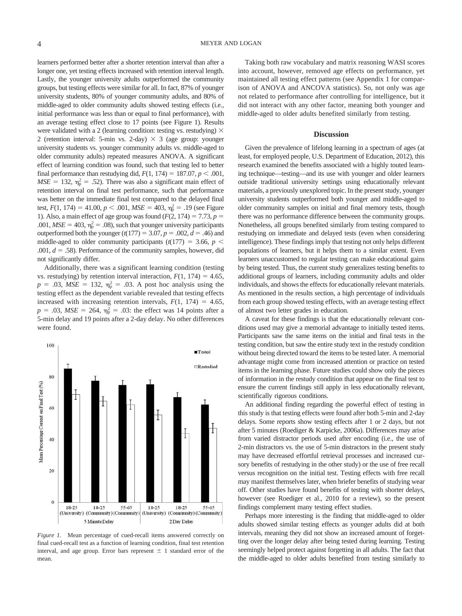learners performed better after a shorter retention interval than after a longer one, yet testing effects increased with retention interval length. Lastly, the younger university adults outperformed the community groups, but testing effects were similar for all. In fact, 87% of younger university students, 80% of younger community adults, and 80% of middle-aged to older community adults showed testing effects (i.e., initial performance was less than or equal to final performance), with an average testing effect close to 17 points (see Figure 1). Results were validated with a 2 (learning condition: testing vs. restudying)  $\times$ 2 (retention interval: 5-min vs. 2-day)  $\times$  3 (age group: younger university students vs. younger community adults vs. middle-aged to older community adults) repeated measures ANOVA. A significant effect of learning condition was found, such that testing led to better final performance than restudying did,  $F(1, 174) = 187.07, p < .001$ ,  $MSE = 132$ ,  $\eta_p^2 = .52$ ). There was also a significant main effect of retention interval on final test performance, such that performance was better on the immediate final test compared to the delayed final test,  $F(1, 174) = 41.00, p < .001, MSE = 403, \eta_p^2 = .19$  (see Figure 1). Also, a main effect of age group was found  $(F(2, 174) = 7.73, p =$ .001,  $MSE = 403$ ,  $\eta_p^2 = .08$ ), such that younger university participants outperformed both the younger  $(t(177) = 3.07, p = .002, d = .46)$  and middle-aged to older community participants  $(t(177) = 3.66, p <$ .001,  $d = .58$ ). Performance of the community samples, however, did not significantly differ.

Additionally, there was a significant learning condition (testing vs. restudying) by retention interval interaction,  $F(1, 174) = 4.65$ ,  $p = .03$ ,  $MSE = 132$ ,  $\eta_p^2 = .03$ . A post hoc analysis using the testing effect as the dependent variable revealed that testing effects increased with increasing retention intervals,  $F(1, 174) = 4.65$ ,  $p = .03$ , *MSE* = 264,  $\eta_p^2 = .03$ : the effect was 14 points after a 5-min delay and 19 points after a 2-day delay. No other differences were found.



*Figure 1.* Mean percentage of cued-recall items answered correctly on final cued-recall test as a function of learning condition, final test retention interval, and age group. Error bars represent  $\pm$  1 standard error of the mean.

Taking both raw vocabulary and matrix reasoning WASI scores into account, however, removed age effects on performance, yet maintained all testing effect patterns (see Appendix 1 for comparison of ANOVA and ANCOVA statistics). So, not only was age not related to performance after controlling for intelligence, but it did not interact with any other factor, meaning both younger and middle-aged to older adults benefited similarly from testing.

#### **Discussion**

Given the prevalence of lifelong learning in a spectrum of ages (at least, for employed people, U.S. Department of Education, 2012), this research examined the benefits associated with a highly touted learning technique—testing—and its use with younger and older learners outside traditional university settings using educationally relevant materials, a previously unexplored topic. In the present study, younger university students outperformed both younger and middle-aged to older community samples on initial and final memory tests, though there was no performance difference between the community groups. Nonetheless, all groups benefited similarly from testing compared to restudying on immediate and delayed tests (even when considering intelligence). These findings imply that testing not only helps different populations of learners, but it helps them to a similar extent. Even learners unaccustomed to regular testing can make educational gains by being tested. Thus, the current study generalizes testing benefits to additional groups of learners, including community adults and older individuals, and shows the effects for educationally relevant materials. As mentioned in the results section, a high percentage of individuals from each group showed testing effects, with an average testing effect of almost two letter grades in education.

A caveat for these findings is that the educationally relevant conditions used may give a memorial advantage to initially tested items. Participants saw the same items on the initial and final tests in the testing condition, but saw the entire study text in the restudy condition without being directed toward the items to be tested later. A memorial advantage might come from increased attention or practice on tested items in the learning phase. Future studies could show only the pieces of information in the restudy condition that appear on the final test to ensure the current findings still apply in less educationally relevant, scientifically rigorous conditions.

An additional finding regarding the powerful effect of testing in this study is that testing effects were found after both 5-min and 2-day delays. Some reports show testing effects after 1 or 2 days, but not after 5 minutes (Roediger & Karpicke, 2006a). Differences may arise from varied distractor periods used after encoding (i.e., the use of 2-min distractors vs. the use of 5-min distractors in the present study may have decreased effortful retrieval processes and increased cursory benefits of restudying in the other study) or the use of free recall versus recognition on the initial test. Testing effects with free recall may manifest themselves later, when briefer benefits of studying wear off. Other studies have found benefits of testing with shorter delays, however (see Roediger et al., 2010 for a review), so the present findings complement many testing effect studies.

Perhaps more interesting is the finding that middle-aged to older adults showed similar testing effects as younger adults did at both intervals, meaning they did not show an increased amount of forgetting over the longer delay after being tested during learning. Testing seemingly helped protect against forgetting in all adults. The fact that the middle-aged to older adults benefited from testing similarly to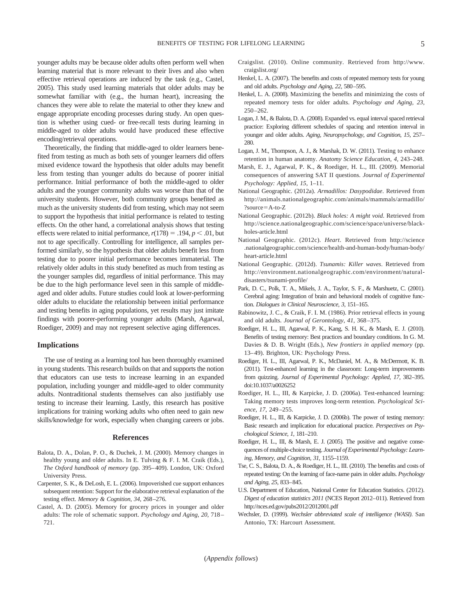younger adults may be because older adults often perform well when learning material that is more relevant to their lives and also when effective retrieval operations are induced by the task (e.g., Castel, 2005). This study used learning materials that older adults may be somewhat familiar with (e.g., the human heart), increasing the chances they were able to relate the material to other they knew and engage appropriate encoding processes during study. An open question is whether using cued- or free-recall tests during learning in middle-aged to older adults would have produced these effective encoding/retrieval operations.

Theoretically, the finding that middle-aged to older learners benefited from testing as much as both sets of younger learners did offers mixed evidence toward the hypothesis that older adults may benefit less from testing than younger adults do because of poorer initial performance. Initial performance of both the middle-aged to older adults and the younger community adults was worse than that of the university students. However, both community groups benefited as much as the university students did from testing, which may not seem to support the hypothesis that initial performance is related to testing effects. On the other hand, a correlational analysis shows that testing effects were related to initial performance,  $r(178) = .194$ ,  $p < .01$ , but not to age specifically. Controlling for intelligence, all samples performed similarly, so the hypothesis that older adults benefit less from testing due to poorer initial performance becomes immaterial. The relatively older adults in this study benefited as much from testing as the younger samples did, regardless of initial performance. This may be due to the high performance level seen in this sample of middleaged and older adults. Future studies could look at lower-performing older adults to elucidate the relationship between initial performance and testing benefits in aging populations, yet results may just imitate findings with poorer-performing younger adults (Marsh, Agarwal, Roediger, 2009) and may not represent selective aging differences.

#### **Implications**

The use of testing as a learning tool has been thoroughly examined in young students. This research builds on that and supports the notion that educators can use tests to increase learning in an expanded population, including younger and middle-aged to older community adults. Nontraditional students themselves can also justifiably use testing to increase their learning. Lastly, this research has positive implications for training working adults who often need to gain new skills/knowledge for work, especially when changing careers or jobs.

#### **References**

- Balota, D. A., Dolan, P. O., & Duchek, J. M. (2000). Memory changes in healthy young and older adults. In E. Tulving & F. I. M. Craik (Eds.), *The Oxford handbook of memory* (pp. 395– 409). London, UK: Oxford University Press.
- Carpenter, S. K., & DeLosh, E. L. (2006). Impoverished cue support enhances subsequent retention: Support for the elaborative retrieval explanation of the testing effect. *Memory & Cognition, 34,* 268 –276.
- Castel, A. D. (2005). Memory for grocery prices in younger and older adults: The role of schematic support. *Psychology and Aging, 20,* 718 – 721.
- Craigslist. (2010). Online community. Retrieved from http://www. craigslist.org/
- Henkel, L. A. (2007). The benefits and costs of repeated memory tests for young and old adults. *Psychology and Aging, 22,* 580–595.
- Henkel, L. A. (2008). Maximizing the benefits and minimizing the costs of repeated memory tests for older adults. *Psychology and Aging, 23,* 250 –262.
- Logan, J. M., & Balota, D. A. (2008). Expanded vs. equal interval spaced retrieval practice: Exploring different schedules of spacing and retention interval in younger and older adults. *Aging, Neuropsychology, and Cognition, 15,* 257– 280.
- Logan, J. M., Thompson, A. J., & Marshak, D. W. (2011). Testing to enhance retention in human anatomy. *Anatomy Science Education, 4,* 243–248.
- Marsh, E. J., Agarwal, P. K., & Roediger, H. L., III. (2009). Memorial consequences of answering SAT II questions. *Journal of Experimental Psychology: Applied, 15,* 1–11.
- National Geographic. (2012a). *Armadillos: Dasypodidae*. Retrieved from http://animals.nationalgeographic.com/animals/mammals/armadillo/ ?source=A-to-Z
- National Geographic. (2012b). *Black holes: A might void*. Retrieved from http://science.nationalgeographic.com/science/space/universe/blackholes-article.html
- National Geographic. (2012c). *Heart*. Retrieved from http://science .nationalgeographic.com/science/health-and-human-body/human-body/ heart-article.html
- National Geographic. (2012d). *Tsunamis: Killer waves*. Retrieved from http://environment.nationalgeographic.com/environment/naturaldisasters/tsunami-profile/
- Park, D. C., Polk, T. A., Mikels, J. A., Taylor, S. F., & Marshuetz, C. (2001). Cerebral aging: Integration of brain and behavioral models of cognitive function. *Dialogues in Clinical Neuroscience, 3,* 151–165.
- Rabinowitz, J. C., & Craik, F. I. M. (1986). Prior retrieval effects in young and old adults. *Journal of Gerontology, 41,* 368 –375.
- Roediger, H. L., III, Agarwal, P. K., Kang, S. H. K., & Marsh, E. J. (2010). Benefits of testing memory: Best practices and boundary conditions. In G. M. Davies & D. B. Wright (Eds.), *New frontiers in applied memory* (pp. 13– 49). Brighton, UK: Psychology Press.
- Roediger, H. L., III, Agarwal, P. K., McDaniel, M. A., & McDermott, K. B. (2011). Test-enhanced learning in the classroom: Long-term improvements from quizzing. *Journal of Experimental Psychology: Applied, 17,* 382–395. doi:10.1037/a0026252
- Roediger, H. L., III, & Karpicke, J. D. (2006a). Test-enhanced learning: Taking memory tests improves long-term retention. *Psychological Science, 17,* 249 –255.
- Roediger, H. L., III, & Karpicke, J. D. (2006b). The power of testing memory: Basic research and implication for educational practice. *Perspectives on Psychological Science, 1,* 181–210.
- Roediger, H. L., III, & Marsh, E. J. (2005). The positive and negative consequences of multiple-choice testing. *Journal of Experimental Psychology: Learning, Memory, and Cognition, 31,* 1155–1159.
- Tse, C. S., Balota, D. A., & Roediger, H. L., III. (2010). The benefits and costs of repeated testing: On the learning of face-name pairs in older adults. *Psychology and Aging, 25,* 833–845.
- U.S. Department of Education, National Center for Education Statistics. (2012). *Digest of education statistics 2011* (NCES Report 2012–011). Retrieved from http://nces.ed.gov/pubs2012/2012001.pdf
- Wechsler, D. (1999). *Wechsler abbreviated scale of intelligence (WASI)*. San Antonio, TX: Harcourt Assessment.